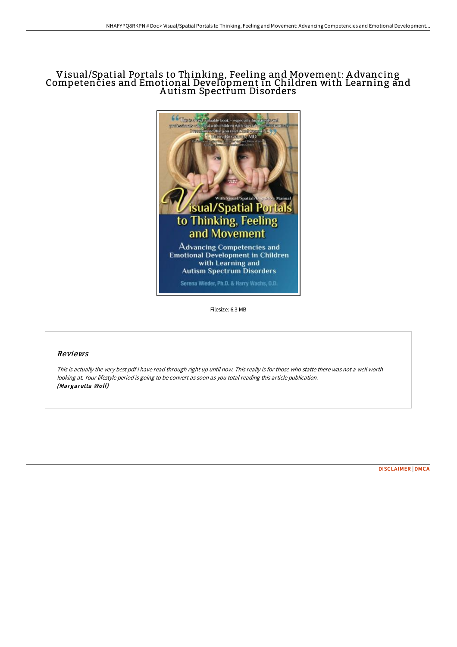# Visual/Spatial Portals to Thinking, Feeling and Movement: A dvancing Competencies and Emotional Development in Children with Learning and A utism Spectrum Disorders



Filesize: 6.3 MB

## Reviews

This is actually the very best pdf i have read through right up until now. This really is for those who statte there was not <sup>a</sup> well worth looking at. Your lifestyle period is going to be convert as soon as you total reading this article publication. (Margaretta Wolf)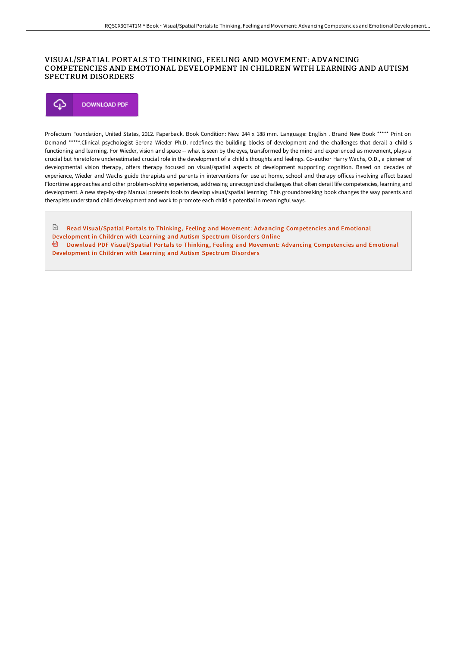### VISUAL/SPATIAL PORTALS TO THINKING, FEELING AND MOVEMENT: ADVANCING COMPETENCIES AND EMOTIONAL DEVELOPMENT IN CHILDREN WITH LEARNING AND AUTISM SPECTRUM DISORDERS



Profectum Foundation, United States, 2012. Paperback. Book Condition: New. 244 x 188 mm. Language: English . Brand New Book \*\*\*\*\* Print on Demand \*\*\*\*\*.Clinical psychologist Serena Wieder Ph.D. redefines the building blocks of development and the challenges that derail a child s functioning and learning. For Wieder, vision and space -- what is seen by the eyes, transformed by the mind and experienced as movement, plays a crucial but heretofore underestimated crucial role in the development of a child s thoughts and feelings. Co-author Harry Wachs, O.D., a pioneer of developmental vision therapy, oFers therapy focused on visual/spatial aspects of development supporting cognition. Based on decades of experience, Wieder and Wachs guide therapists and parents in interventions for use at home, school and therapy oFices involving aFect based Floortime approaches and other problem-solving experiences, addressing unrecognized challenges that often derail life competencies, learning and development. A new step-by-step Manual presents tools to develop visual/spatial learning. This groundbreaking book changes the way parents and therapists understand child development and work to promote each child s potential in meaningful ways.

Read [Visual/Spatial](http://www.bookdirs.com/visual-x2f-spatial-portals-to-thinking-feeling-a.html) Portals to Thinking, Feeling and Movement: Advancing Competencies and Emotional Development in Children with Learning and Autism Spectrum Disorders Online Download PDF [Visual/Spatial](http://www.bookdirs.com/visual-x2f-spatial-portals-to-thinking-feeling-a.html) Portals to Thinking, Feeling and Movement: Advancing Competencies and Emotional Development in Children with Learning and Autism Spectrum Disorders